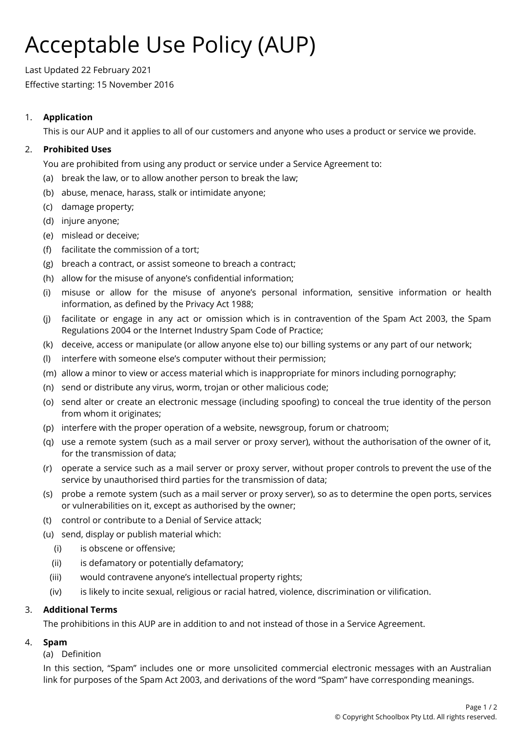# Acceptable Use Policy (AUP)

Last Updated 22 February 2021 Effective starting: 15 November 2016

# 1. **Application**

This is our AUP and it applies to all of our customers and anyone who uses a product or service we provide.

## 2. **Prohibited Uses**

You are prohibited from using any product or service under a Service Agreement to:

- (a) break the law, or to allow another person to break the law;
- (b) abuse, menace, harass, stalk or intimidate anyone;
- (c) damage property;
- (d) injure anyone;
- (e) mislead or deceive;
- (f) facilitate the commission of a tort;
- (g) breach a contract, or assist someone to breach a contract;
- (h) allow for the misuse of anyone's confidential information;
- (i) misuse or allow for the misuse of anyone's personal information, sensitive information or health information, as defined by the Privacy Act 1988;
- (j) facilitate or engage in any act or omission which is in contravention of the Spam Act 2003, the Spam Regulations 2004 or the Internet Industry Spam Code of Practice;
- (k) deceive, access or manipulate (or allow anyone else to) our billing systems or any part of our network;
- (l) interfere with someone else's computer without their permission;
- (m) allow a minor to view or access material which is inappropriate for minors including pornography;
- (n) send or distribute any virus, worm, trojan or other malicious code;
- (o) send alter or create an electronic message (including spoofing) to conceal the true identity of the person from whom it originates;
- (p) interfere with the proper operation of a website, newsgroup, forum or chatroom;
- (q) use a remote system (such as a mail server or proxy server), without the authorisation of the owner of it, for the transmission of data;
- (r) operate a service such as a mail server or proxy server, without proper controls to prevent the use of the service by unauthorised third parties for the transmission of data;
- (s) probe a remote system (such as a mail server or proxy server), so as to determine the open ports, services or vulnerabilities on it, except as authorised by the owner;
- (t) control or contribute to a Denial of Service attack;
- (u) send, display or publish material which:
	- (i) is obscene or offensive;
	- (ii) is defamatory or potentially defamatory;
	- (iii) would contravene anyone's intellectual property rights;
	- (iv) is likely to incite sexual, religious or racial hatred, violence, discrimination or vilification.

## 3. **Additional Terms**

The prohibitions in this AUP are in addition to and not instead of those in a Service Agreement.

## 4. **Spam**

#### (a) Definition

In this section, "Spam" includes one or more unsolicited commercial electronic messages with an Australian link for purposes of the Spam Act 2003, and derivations of the word "Spam" have corresponding meanings.